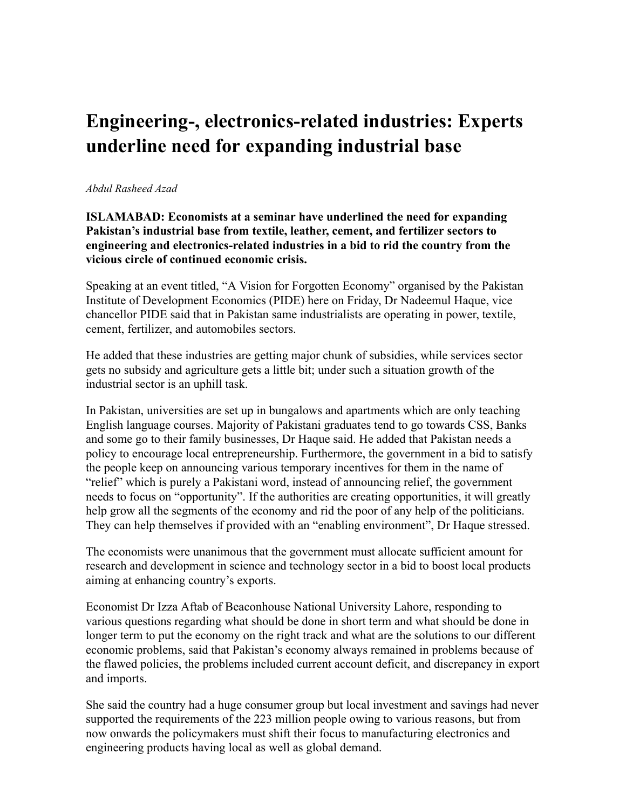## **Engineering-, electronics-related industries: Experts underline need for expanding industrial base**

## *Abdul Rasheed Azad*

**ISLAMABAD: Economists at a seminar have underlined the need for expanding Pakistan's industrial base from textile, leather, cement, and fertilizer sectors to engineering and electronics-related industries in a bid to rid the country from the vicious circle of continued economic crisis.**

Speaking at an event titled, "A Vision for Forgotten Economy" organised by the Pakistan Institute of Development Economics (PIDE) here on Friday, Dr Nadeemul Haque, vice chancellor PIDE said that in Pakistan same industrialists are operating in power, textile, cement, fertilizer, and automobiles sectors.

He added that these industries are getting major chunk of subsidies, while services sector gets no subsidy and agriculture gets a little bit; under such a situation growth of the industrial sector is an uphill task.

In Pakistan, universities are set up in bungalows and apartments which are only teaching English language courses. Majority of Pakistani graduates tend to go towards CSS, Banks and some go to their family businesses, Dr Haque said. He added that Pakistan needs a policy to encourage local entrepreneurship. Furthermore, the government in a bid to satisfy the people keep on announcing various temporary incentives for them in the name of "relief" which is purely a Pakistani word, instead of announcing relief, the government needs to focus on "opportunity". If the authorities are creating opportunities, it will greatly help grow all the segments of the economy and rid the poor of any help of the politicians. They can help themselves if provided with an "enabling environment", Dr Haque stressed.

The economists were unanimous that the government must allocate sufficient amount for research and development in science and technology sector in a bid to boost local products aiming at enhancing country's exports.

Economist Dr Izza Aftab of Beaconhouse National University Lahore, responding to various questions regarding what should be done in short term and what should be done in longer term to put the economy on the right track and what are the solutions to our different economic problems, said that Pakistan's economy always remained in problems because of the flawed policies, the problems included current account deficit, and discrepancy in export and imports.

She said the country had a huge consumer group but local investment and savings had never supported the requirements of the 223 million people owing to various reasons, but from now onwards the policymakers must shift their focus to manufacturing electronics and engineering products having local as well as global demand.